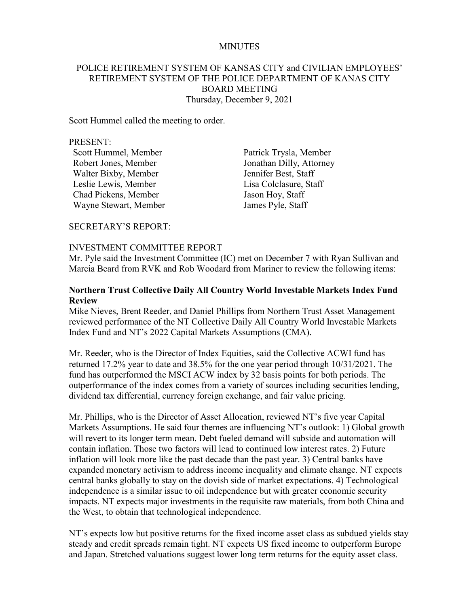#### MINUTES

## POLICE RETIREMENT SYSTEM OF KANSAS CITY and CIVILIAN EMPLOYEES' RETIREMENT SYSTEM OF THE POLICE DEPARTMENT OF KANAS CITY BOARD MEETING Thursday, December 9, 2021

Scott Hummel called the meeting to order.

#### PRESENT:

Scott Hummel, Member Patrick Trysla, Member Walter Bixby, Member Jennifer Best, Staff Leslie Lewis, Member Lisa Colclasure, Staff Chad Pickens, Member Jason Hoy, Staff Wayne Stewart, Member James Pyle, Staff

Robert Jones, Member Jonathan Dilly, Attorney

SECRETARY'S REPORT:

#### INVESTMENT COMMITTEE REPORT

Mr. Pyle said the Investment Committee (IC) met on December 7 with Ryan Sullivan and Marcia Beard from RVK and Rob Woodard from Mariner to review the following items:

#### **Northern Trust Collective Daily All Country World Investable Markets Index Fund Review**

Mike Nieves, Brent Reeder, and Daniel Phillips from Northern Trust Asset Management reviewed performance of the NT Collective Daily All Country World Investable Markets Index Fund and NT's 2022 Capital Markets Assumptions (CMA).

Mr. Reeder, who is the Director of Index Equities, said the Collective ACWI fund has returned 17.2% year to date and 38.5% for the one year period through 10/31/2021. The fund has outperformed the MSCI ACW index by 32 basis points for both periods. The outperformance of the index comes from a variety of sources including securities lending, dividend tax differential, currency foreign exchange, and fair value pricing.

Mr. Phillips, who is the Director of Asset Allocation, reviewed NT's five year Capital Markets Assumptions. He said four themes are influencing NT's outlook: 1) Global growth will revert to its longer term mean. Debt fueled demand will subside and automation will contain inflation. Those two factors will lead to continued low interest rates. 2) Future inflation will look more like the past decade than the past year. 3) Central banks have expanded monetary activism to address income inequality and climate change. NT expects central banks globally to stay on the dovish side of market expectations. 4) Technological independence is a similar issue to oil independence but with greater economic security impacts. NT expects major investments in the requisite raw materials, from both China and the West, to obtain that technological independence.

NT's expects low but positive returns for the fixed income asset class as subdued yields stay steady and credit spreads remain tight. NT expects US fixed income to outperform Europe and Japan. Stretched valuations suggest lower long term returns for the equity asset class.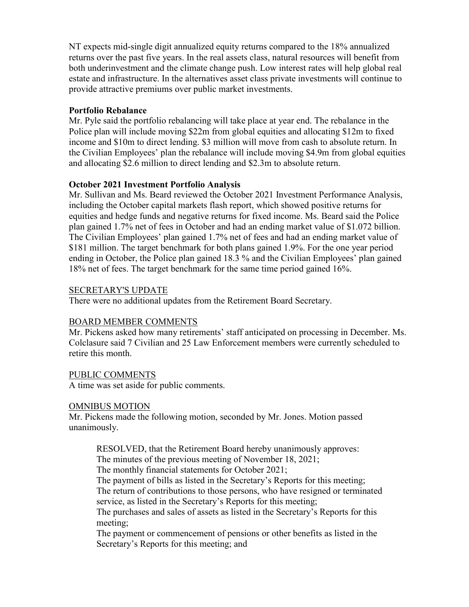NT expects mid-single digit annualized equity returns compared to the 18% annualized returns over the past five years. In the real assets class, natural resources will benefit from both underinvestment and the climate change push. Low interest rates will help global real estate and infrastructure. In the alternatives asset class private investments will continue to provide attractive premiums over public market investments.

## **Portfolio Rebalance**

Mr. Pyle said the portfolio rebalancing will take place at year end. The rebalance in the Police plan will include moving \$22m from global equities and allocating \$12m to fixed income and \$10m to direct lending. \$3 million will move from cash to absolute return. In the Civilian Employees' plan the rebalance will include moving \$4.9m from global equities and allocating \$2.6 million to direct lending and \$2.3m to absolute return.

## **October 2021 Investment Portfolio Analysis**

Mr. Sullivan and Ms. Beard reviewed the October 2021 Investment Performance Analysis, including the October capital markets flash report, which showed positive returns for equities and hedge funds and negative returns for fixed income. Ms. Beard said the Police plan gained 1.7% net of fees in October and had an ending market value of \$1.072 billion. The Civilian Employees' plan gained 1.7% net of fees and had an ending market value of \$181 million. The target benchmark for both plans gained 1.9%. For the one year period ending in October, the Police plan gained 18.3 % and the Civilian Employees' plan gained 18% net of fees. The target benchmark for the same time period gained 16%.

## SECRETARY'S UPDATE

There were no additional updates from the Retirement Board Secretary.

# BOARD MEMBER COMMENTS

Mr. Pickens asked how many retirements' staff anticipated on processing in December. Ms. Colclasure said 7 Civilian and 25 Law Enforcement members were currently scheduled to retire this month.

## PUBLIC COMMENTS

A time was set aside for public comments.

## OMNIBUS MOTION

Mr. Pickens made the following motion, seconded by Mr. Jones. Motion passed unanimously.

RESOLVED, that the Retirement Board hereby unanimously approves: The minutes of the previous meeting of November 18, 2021;

The monthly financial statements for October 2021;

The payment of bills as listed in the Secretary's Reports for this meeting; The return of contributions to those persons, who have resigned or terminated service, as listed in the Secretary's Reports for this meeting;

The purchases and sales of assets as listed in the Secretary's Reports for this meeting;

The payment or commencement of pensions or other benefits as listed in the Secretary's Reports for this meeting; and